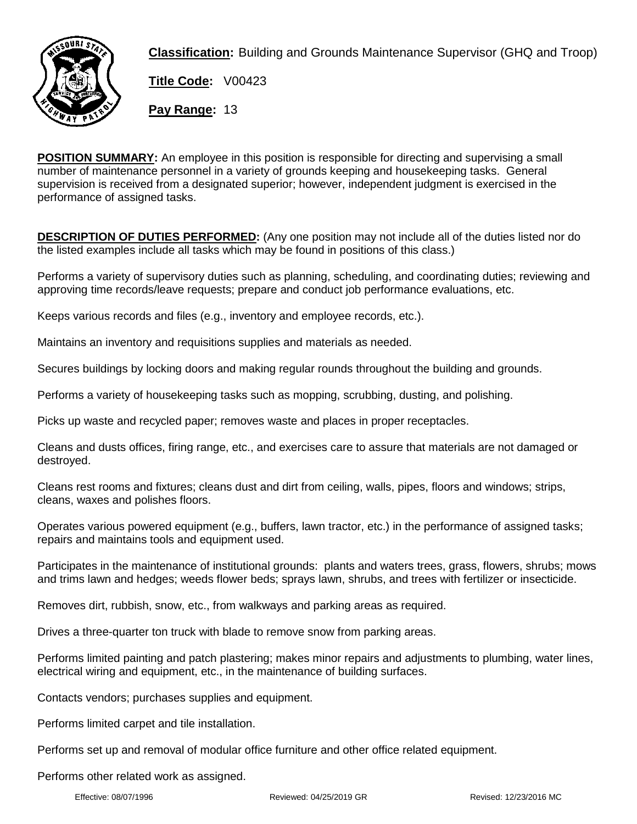

**Classification:** Building and Grounds Maintenance Supervisor (GHQ and Troop)

**Title Code:** V00423

**Pay Range:** 13

**POSITION SUMMARY:** An employee in this position is responsible for directing and supervising a small number of maintenance personnel in a variety of grounds keeping and housekeeping tasks. General supervision is received from a designated superior; however, independent judgment is exercised in the performance of assigned tasks.

**DESCRIPTION OF DUTIES PERFORMED:** (Any one position may not include all of the duties listed nor do the listed examples include all tasks which may be found in positions of this class.)

Performs a variety of supervisory duties such as planning, scheduling, and coordinating duties; reviewing and approving time records/leave requests; prepare and conduct job performance evaluations, etc.

Keeps various records and files (e.g., inventory and employee records, etc.).

Maintains an inventory and requisitions supplies and materials as needed.

Secures buildings by locking doors and making regular rounds throughout the building and grounds.

Performs a variety of housekeeping tasks such as mopping, scrubbing, dusting, and polishing.

Picks up waste and recycled paper; removes waste and places in proper receptacles.

Cleans and dusts offices, firing range, etc., and exercises care to assure that materials are not damaged or destroyed.

Cleans rest rooms and fixtures; cleans dust and dirt from ceiling, walls, pipes, floors and windows; strips, cleans, waxes and polishes floors.

Operates various powered equipment (e.g., buffers, lawn tractor, etc.) in the performance of assigned tasks; repairs and maintains tools and equipment used.

Participates in the maintenance of institutional grounds: plants and waters trees, grass, flowers, shrubs; mows and trims lawn and hedges; weeds flower beds; sprays lawn, shrubs, and trees with fertilizer or insecticide.

Removes dirt, rubbish, snow, etc., from walkways and parking areas as required.

Drives a three-quarter ton truck with blade to remove snow from parking areas.

Performs limited painting and patch plastering; makes minor repairs and adjustments to plumbing, water lines, electrical wiring and equipment, etc., in the maintenance of building surfaces.

Contacts vendors; purchases supplies and equipment.

Performs limited carpet and tile installation.

Performs set up and removal of modular office furniture and other office related equipment.

Performs other related work as assigned.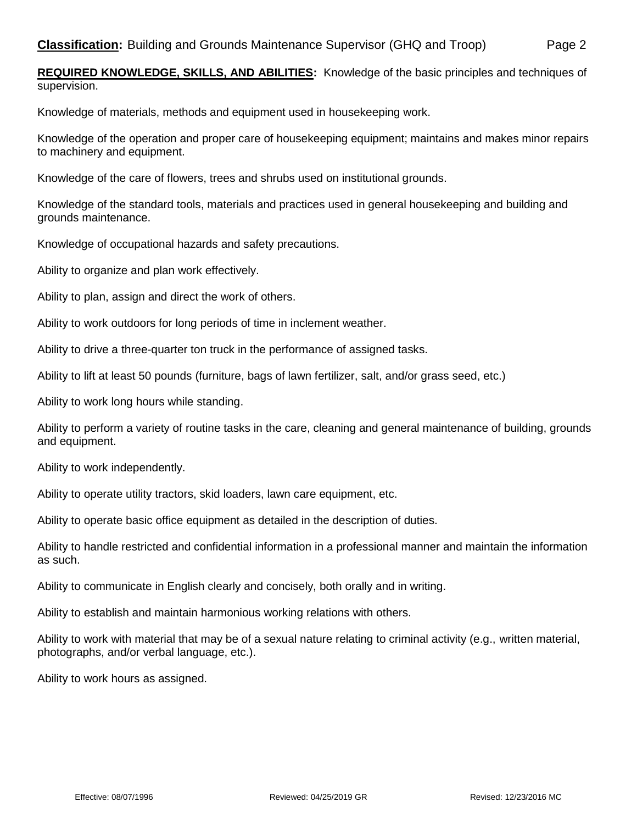**REQUIRED KNOWLEDGE, SKILLS, AND ABILITIES:** Knowledge of the basic principles and techniques of supervision.

Knowledge of materials, methods and equipment used in housekeeping work.

Knowledge of the operation and proper care of housekeeping equipment; maintains and makes minor repairs to machinery and equipment.

Knowledge of the care of flowers, trees and shrubs used on institutional grounds.

Knowledge of the standard tools, materials and practices used in general housekeeping and building and grounds maintenance.

Knowledge of occupational hazards and safety precautions.

Ability to organize and plan work effectively.

Ability to plan, assign and direct the work of others.

Ability to work outdoors for long periods of time in inclement weather.

Ability to drive a three-quarter ton truck in the performance of assigned tasks.

Ability to lift at least 50 pounds (furniture, bags of lawn fertilizer, salt, and/or grass seed, etc.)

Ability to work long hours while standing.

Ability to perform a variety of routine tasks in the care, cleaning and general maintenance of building, grounds and equipment.

Ability to work independently.

Ability to operate utility tractors, skid loaders, lawn care equipment, etc.

Ability to operate basic office equipment as detailed in the description of duties.

Ability to handle restricted and confidential information in a professional manner and maintain the information as such.

Ability to communicate in English clearly and concisely, both orally and in writing.

Ability to establish and maintain harmonious working relations with others.

Ability to work with material that may be of a sexual nature relating to criminal activity (e.g., written material, photographs, and/or verbal language, etc.).

Ability to work hours as assigned.